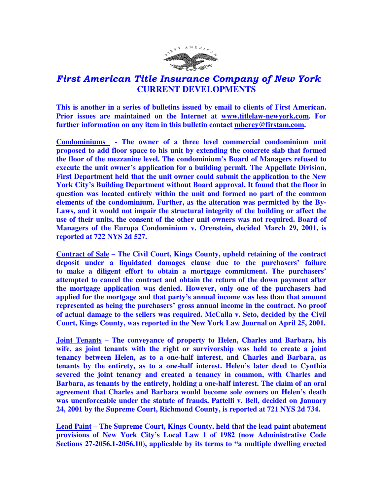

## First American Title Insurance Company of New York  **CURRENT DEVELOPMENTS**

**This is another in a series of bulletins issued by email to clients of First American. Prior issues are maintained on the Internet at www.titlelaw-newyork.com. For further information on any item in this bulletin contact mberey@firstam.com.** 

**Condominiums - The owner of a three level commercial condominium unit proposed to add floor space to his unit by extending the concrete slab that formed the floor of the mezzanine level. The condominium's Board of Managers refused to execute the unit owner's application for a building permit. The Appellate Division, First Department held that the unit owner could submit the application to the New York City's Building Department without Board approval. It found that the floor in question was located entirely within the unit and formed no part of the common elements of the condominium. Further, as the alteration was permitted by the By-Laws, and it would not impair the structural integrity of the building or affect the use of their units, the consent of the other unit owners was not required. Board of Managers of the Europa Condominium v. Orenstein, decided March 29, 2001, is reported at 722 NYS 2d 527.** 

**Contract of Sale – The Civil Court, Kings County, upheld retaining of the contract deposit under a liquidated damages clause due to the purchasers' failure to make a diligent effort to obtain a mortgage commitment. The purchasers' attempted to cancel the contract and obtain the return of the down payment after the mortgage application was denied. However, only one of the purchasers had applied for the mortgage and that party's annual income was less than that amount represented as being the purchasers' gross annual income in the contract. No proof of actual damage to the sellers was required. McCalla v. Seto, decided by the Civil Court, Kings County, was reported in the New York Law Journal on April 25, 2001.** 

**Joint Tenants – The conveyance of property to Helen, Charles and Barbara, his wife, as joint tenants with the right or survivorship was held to create a joint tenancy between Helen, as to a one-half interest, and Charles and Barbara, as tenants by the entirety, as to a one-half interest. Helen's later deed to Cynthia severed the joint tenancy and created a tenancy in common, with Charles and Barbara, as tenants by the entirety, holding a one-half interest. The claim of an oral agreement that Charles and Barbara would become sole owners on Helen's death was unenforceable under the statute of frauds. Pattelli v. Bell, decided on January 24, 2001 by the Supreme Court, Richmond County, is reported at 721 NYS 2d 734.** 

**Lead Paint – The Supreme Court, Kings County, held that the lead paint abatement provisions of New York City's Local Law 1 of 1982 (now Administrative Code Sections 27-2056.1-2056.10), applicable by its terms to "a multiple dwelling erected**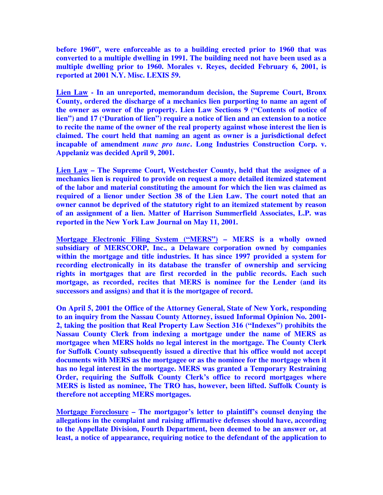**before 1960", were enforceable as to a building erected prior to 1960 that was converted to a multiple dwelling in 1991. The building need not have been used as a multiple dwelling prior to 1960. Morales v. Reyes, decided February 6, 2001, is reported at 2001 N.Y. Misc. LEXIS 59.** 

**Lien Law - In an unreported, memorandum decision, the Supreme Court, Bronx County, ordered the discharge of a mechanics lien purporting to name an agent of the owner as owner of the property. Lien Law Sections 9 ("Contents of notice of lien") and 17 ('Duration of lien") require a notice of lien and an extension to a notice to recite the name of the owner of the real property against whose interest the lien is claimed. The court held that naming an agent as owner is a jurisdictional defect incapable of amendment** *nunc pro tunc***. Long Industries Construction Corp. v. Appelaniz was decided April 9, 2001.** 

**Lien Law – The Supreme Court, Westchester County, held that the assignee of a mechanics lien is required to provide on request a more detailed itemized statement of the labor and material constituting the amount for which the lien was claimed as required of a lienor under Section 38 of the Lien Law. The court noted that an owner cannot be deprived of the statutory right to an itemized statement by reason of an assignment of a lien. Matter of Harrison Summerfield Associates, L.P. was reported in the New York Law Journal on May 11, 2001.** 

**Mortgage Electronic Filing System ("MERS") – MERS is a wholly owned subsidiary of MERSCORP, Inc., a Delaware corporation owned by companies within the mortgage and title industries. It has since 1997 provided a system for recording electronically in its database the transfer of ownership and servicing rights in mortgages that are first recorded in the public records. Each such mortgage, as recorded, recites that MERS is nominee for the Lender (and its successors and assigns) and that it is the mortgagee of record.** 

**On April 5, 2001 the Office of the Attorney General, State of New York, responding to an inquiry from the Nassau County Attorney, issued Informal Opinion No. 2001- 2, taking the position that Real Property Law Section 316 ("Indexes") prohibits the Nassau County Clerk from indexing a mortgage under the name of MERS as mortgagee when MERS holds no legal interest in the mortgage. The County Clerk for Suffolk County subsequently issued a directive that his office would not accept documents with MERS as the mortgagee or as the nominee for the mortgage when it has no legal interest in the mortgage. MERS was granted a Temporary Restraining Order, requiring the Suffolk County Clerk's office to record mortgages where MERS is listed as nominee, The TRO has, however, been lifted. Suffolk County is therefore not accepting MERS mortgages.** 

**Mortgage Foreclosure – The mortgagor's letter to plaintiff's counsel denying the allegations in the complaint and raising affirmative defenses should have, according to the Appellate Division, Fourth Department, been deemed to be an answer or, at least, a notice of appearance, requiring notice to the defendant of the application to**